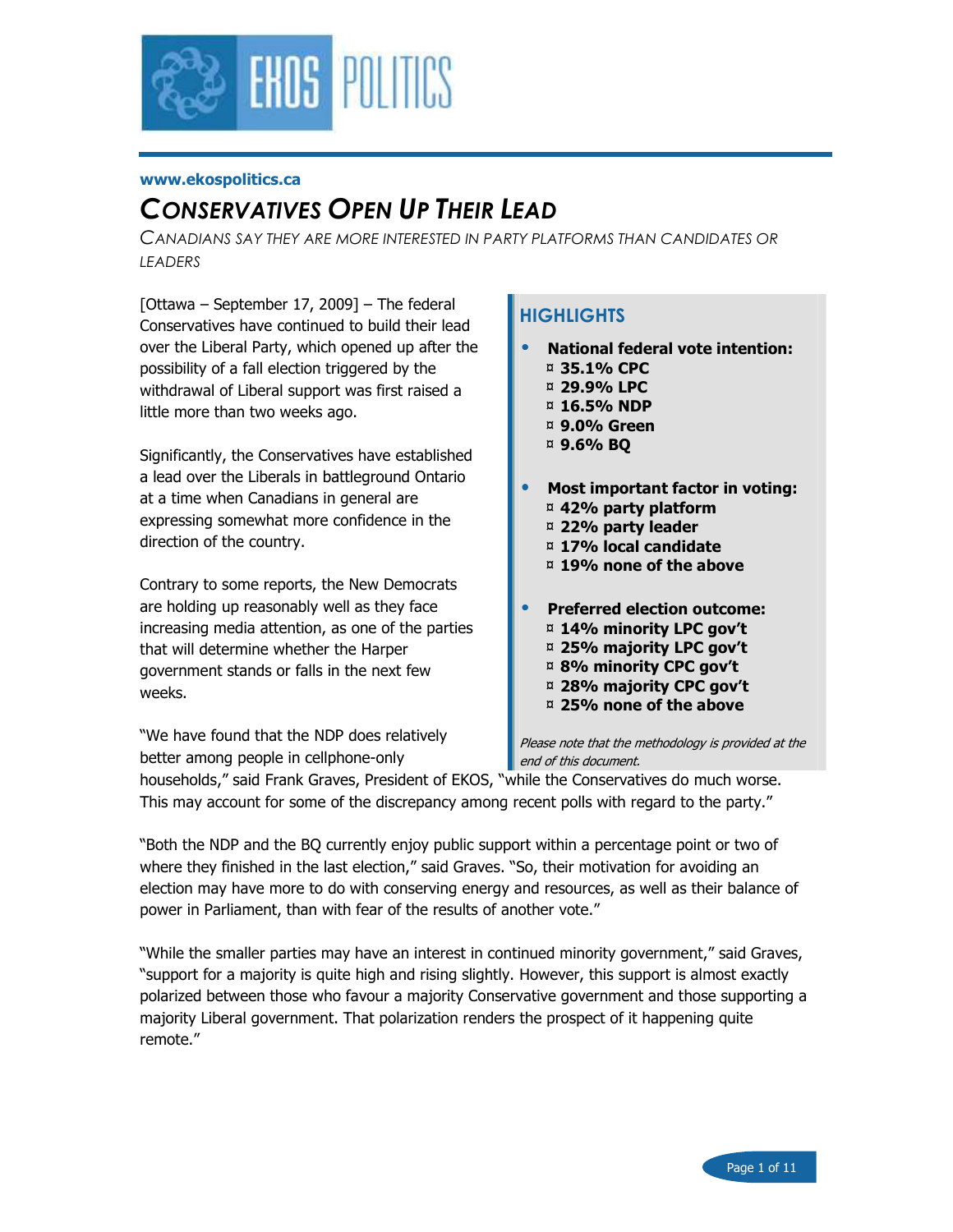

#### www.ekospolitics.ca

# CONSERVATIVES OPEN UP THEIR LEAD

CANADIANS SAY THEY ARE MORE INTERESTED IN PARTY PLATFORMS THAN CANDIDATES OR **LEADERS** 

[Ottawa – September 17, 2009] – The federal Conservatives have continued to build their lead over the Liberal Party, which opened up after the possibility of a fall election triggered by the withdrawal of Liberal support was first raised a little more than two weeks ago.

Significantly, the Conservatives have established a lead over the Liberals in battleground Ontario at a time when Canadians in general are expressing somewhat more confidence in the direction of the country.

Contrary to some reports, the New Democrats are holding up reasonably well as they face increasing media attention, as one of the parties that will determine whether the Harper government stands or falls in the next few weeks.

"We have found that the NDP does relatively better among people in cellphone-only

# **HIGHLIGHTS**

- National federal vote intention:
	- ¤ 35.1% CPC
	- ¤ 29.9% LPC
	- ¤ 16.5% NDP
	- ¤ 9.0% Green
	- ¤ 9.6% BQ
- Most important factor in voting: ¤ 42% party platform
	- ¤ 22% party leader
	- ¤ 17% local candidate
	- ¤ 19% none of the above
- Preferred election outcome:
	- ¤ 14% minority LPC gov't ¤ 25% majority LPC gov't
	- ¤ 8% minority CPC gov't
	- ¤ 28% majority CPC gov't
	- ¤ 25% none of the above

Please note that the methodology is provided at the end of this document.

households," said Frank Graves, President of EKOS, "while the Conservatives do much worse. This may account for some of the discrepancy among recent polls with regard to the party."

"Both the NDP and the BQ currently enjoy public support within a percentage point or two of where they finished in the last election," said Graves. "So, their motivation for avoiding an election may have more to do with conserving energy and resources, as well as their balance of power in Parliament, than with fear of the results of another vote."

"While the smaller parties may have an interest in continued minority government," said Graves, "support for a majority is quite high and rising slightly. However, this support is almost exactly polarized between those who favour a majority Conservative government and those supporting a majority Liberal government. That polarization renders the prospect of it happening quite remote."

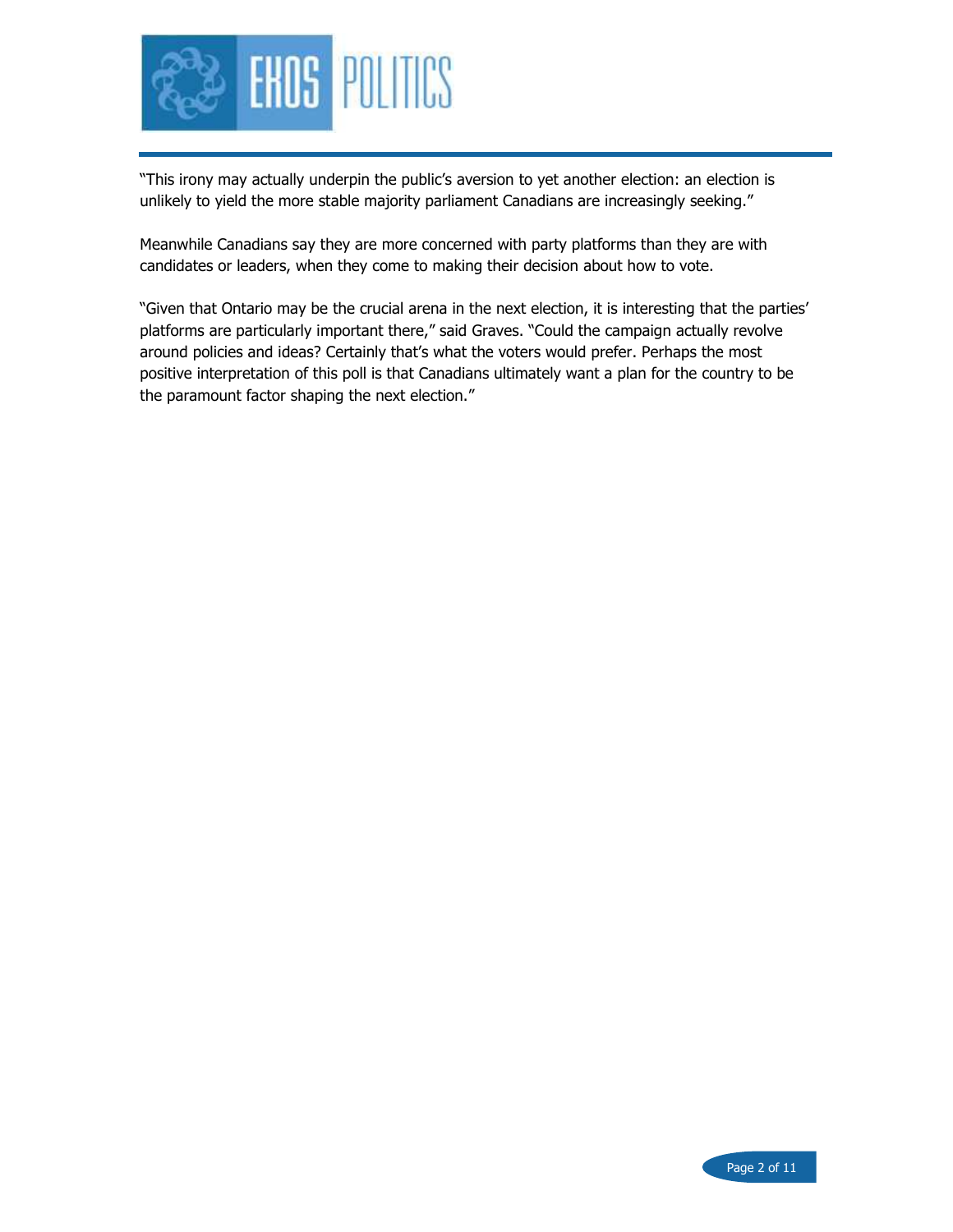

"This irony may actually underpin the public's aversion to yet another election: an election is unlikely to yield the more stable majority parliament Canadians are increasingly seeking."

Meanwhile Canadians say they are more concerned with party platforms than they are with candidates or leaders, when they come to making their decision about how to vote.

"Given that Ontario may be the crucial arena in the next election, it is interesting that the parties' platforms are particularly important there," said Graves. "Could the campaign actually revolve around policies and ideas? Certainly that's what the voters would prefer. Perhaps the most positive interpretation of this poll is that Canadians ultimately want a plan for the country to be the paramount factor shaping the next election."

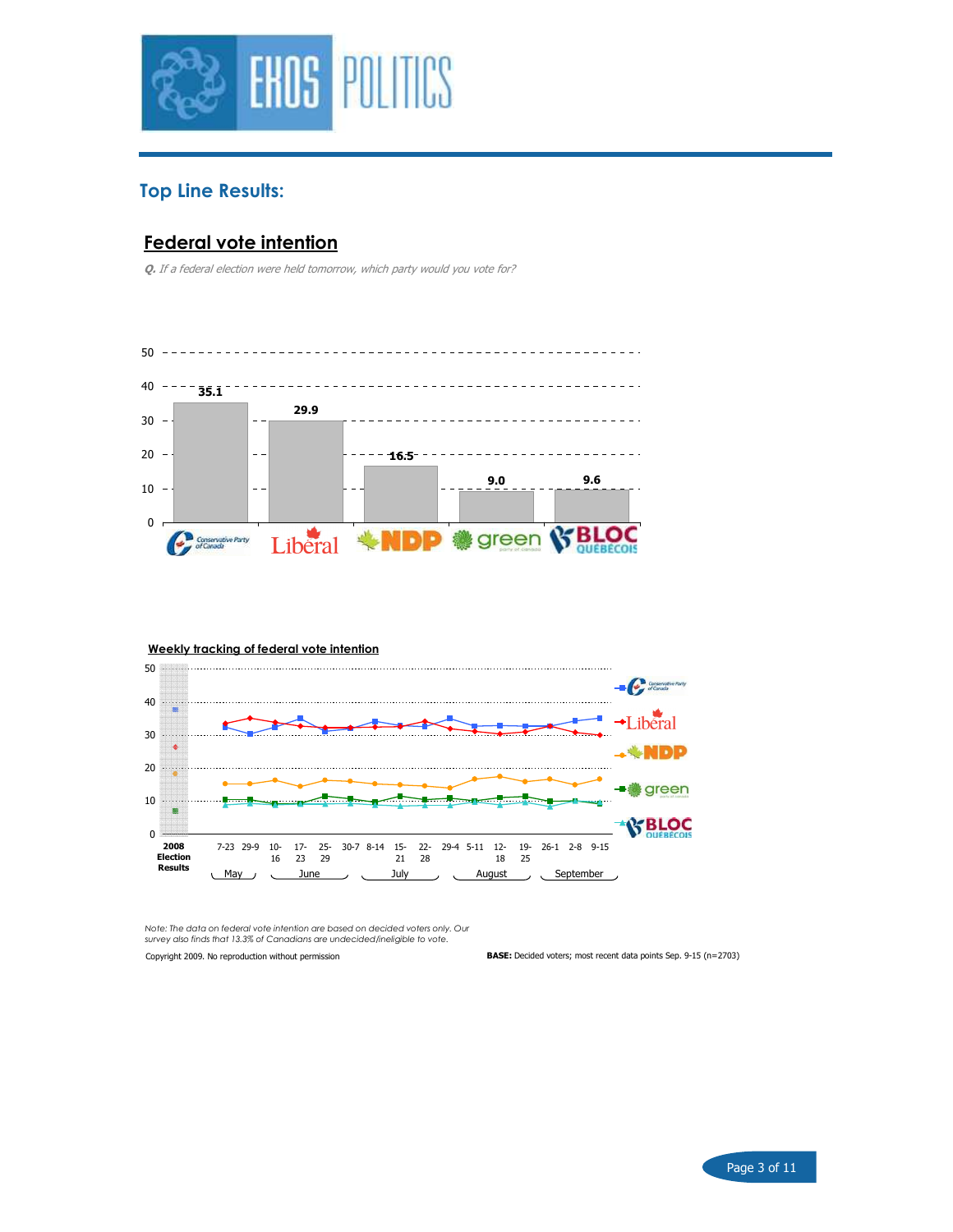

# Top Line Results:

# Federal vote intention

Q. If a federal election were held tomorrow, which party would you vote for?



#### Weekly tracking of federal vote intention



Note: The data on federal vote intention are based on decided voters only. Our survey also finds that 13.3% of Canadians are undecided/ineligible to vote.

Copyright 2009. No reproduction without permission

BASE: Decided voters; most recent data points Sep. 9-15 (n=2703)

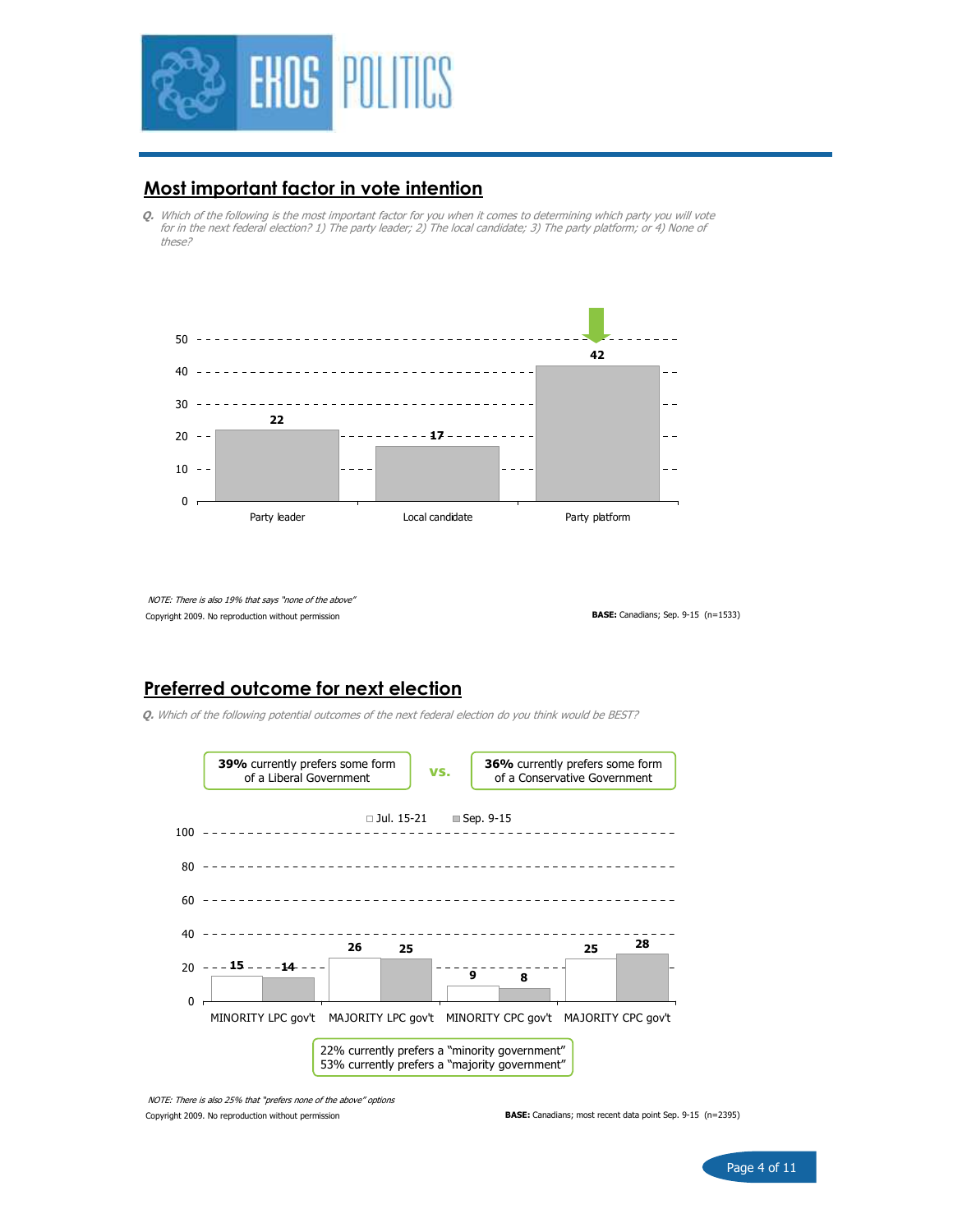

### Most important factor in vote intention

Q. Which of the following is the most important factor for you when it comes to determining which party you will vote for in the next federal election? 1) The party leader; 2) The local candidate; 3) The party platform; or 4) None of these?



Copyright 2009. No reproduction without permission NOTE: There is also 19% that says "none of the above"

BASE: Canadians; Sep. 9-15 (n=1533)

# Preferred outcome for next election

Q. Which of the following potential outcomes of the next federal election do you think would be BEST?



Copyright 2009. No reproduction without permission NOTE: There is also 25% that "prefers none of the above" options

BASE: Canadians; most recent data point Sep. 9-15 (n=2395)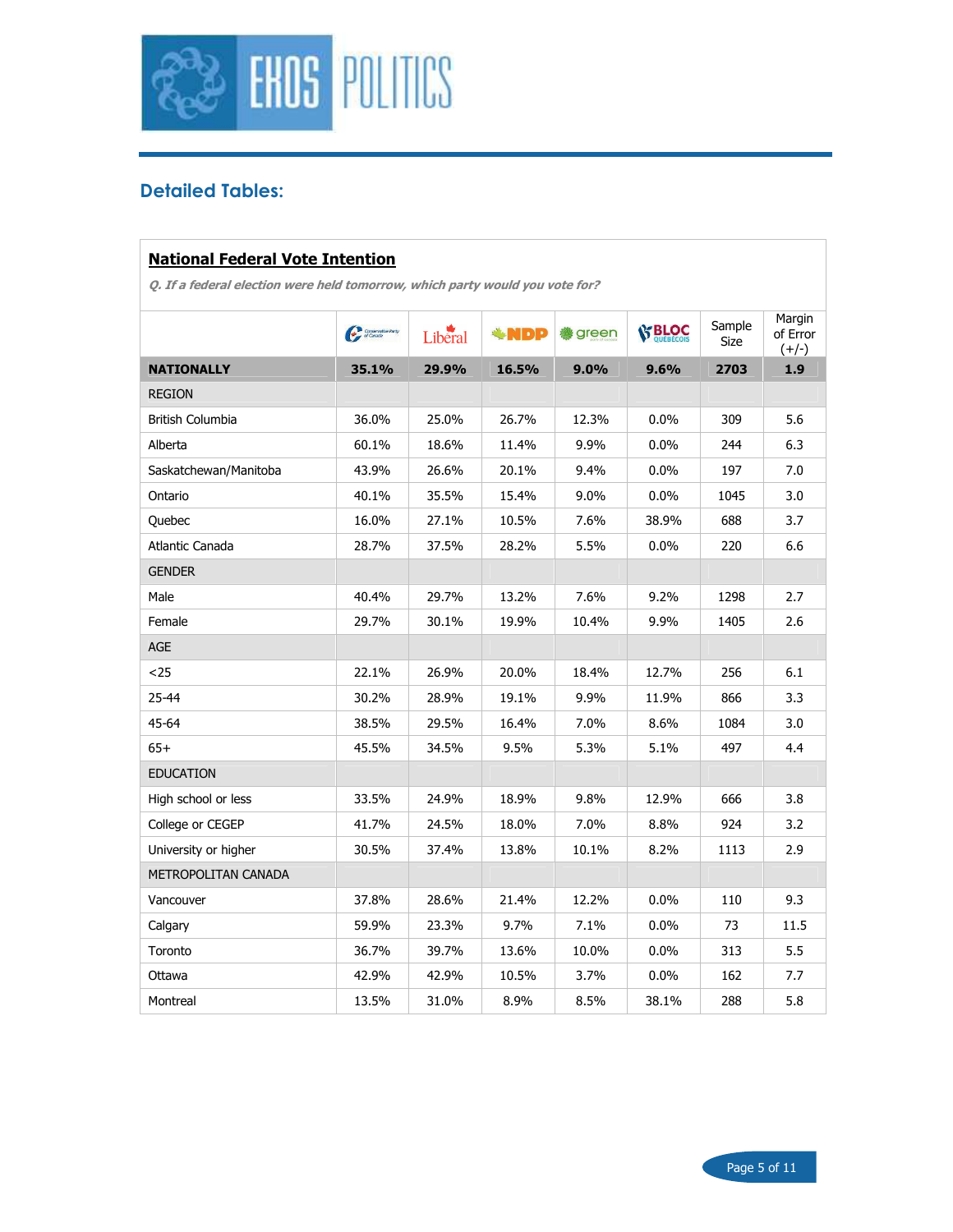

# Detailed Tables:

#### National Federal Vote Intention

|                         | Conservati | Liberal | <b>ANDP</b> | <b>A</b> green | <b>S BLOC</b> | Sample<br>Size | Margin<br>of Error<br>$(+/-)$ |
|-------------------------|------------|---------|-------------|----------------|---------------|----------------|-------------------------------|
| <b>NATIONALLY</b>       | 35.1%      | 29.9%   | 16.5%       | 9.0%           | 9.6%          | 2703           | 1.9                           |
| <b>REGION</b>           |            |         |             |                |               |                |                               |
| <b>British Columbia</b> | 36.0%      | 25.0%   | 26.7%       | 12.3%          | $0.0\%$       | 309            | 5.6                           |
| Alberta                 | 60.1%      | 18.6%   | 11.4%       | 9.9%           | $0.0\%$       | 244            | 6.3                           |
| Saskatchewan/Manitoba   | 43.9%      | 26.6%   | 20.1%       | 9.4%           | 0.0%          | 197            | 7.0                           |
| Ontario                 | 40.1%      | 35.5%   | 15.4%       | $9.0\%$        | $0.0\%$       | 1045           | 3.0                           |
| Quebec                  | 16.0%      | 27.1%   | 10.5%       | 7.6%           | 38.9%         | 688            | 3.7                           |
| Atlantic Canada         | 28.7%      | 37.5%   | 28.2%       | 5.5%           | 0.0%          | 220            | 6.6                           |
| <b>GENDER</b>           |            |         |             |                |               |                |                               |
| Male                    | 40.4%      | 29.7%   | 13.2%       | 7.6%           | 9.2%          | 1298           | 2.7                           |
| Female                  | 29.7%      | 30.1%   | 19.9%       | 10.4%          | 9.9%          | 1405           | 2.6                           |
| AGE                     |            |         |             |                |               |                |                               |
| $25$                    | 22.1%      | 26.9%   | 20.0%       | 18.4%          | 12.7%         | 256            | 6.1                           |
| 25-44                   | 30.2%      | 28.9%   | 19.1%       | 9.9%           | 11.9%         | 866            | 3.3                           |
| 45-64                   | 38.5%      | 29.5%   | 16.4%       | 7.0%           | 8.6%          | 1084           | 3.0                           |
| $65+$                   | 45.5%      | 34.5%   | 9.5%        | 5.3%           | 5.1%          | 497            | 4.4                           |
| <b>EDUCATION</b>        |            |         |             |                |               |                |                               |
| High school or less     | 33.5%      | 24.9%   | 18.9%       | 9.8%           | 12.9%         | 666            | 3.8                           |
| College or CEGEP        | 41.7%      | 24.5%   | 18.0%       | 7.0%           | 8.8%          | 924            | 3.2                           |
| University or higher    | 30.5%      | 37.4%   | 13.8%       | 10.1%          | 8.2%          | 1113           | 2.9                           |
| METROPOLITAN CANADA     |            |         |             |                |               |                |                               |
| Vancouver               | 37.8%      | 28.6%   | 21.4%       | 12.2%          | 0.0%          | 110            | 9.3                           |
| Calgary                 | 59.9%      | 23.3%   | 9.7%        | 7.1%           | $0.0\%$       | 73             | 11.5                          |
| Toronto                 | 36.7%      | 39.7%   | 13.6%       | 10.0%          | 0.0%          | 313            | 5.5                           |
| Ottawa                  | 42.9%      | 42.9%   | 10.5%       | 3.7%           | 0.0%          | 162            | 7.7                           |
| Montreal                | 13.5%      | 31.0%   | 8.9%        | 8.5%           | 38.1%         | 288            | 5.8                           |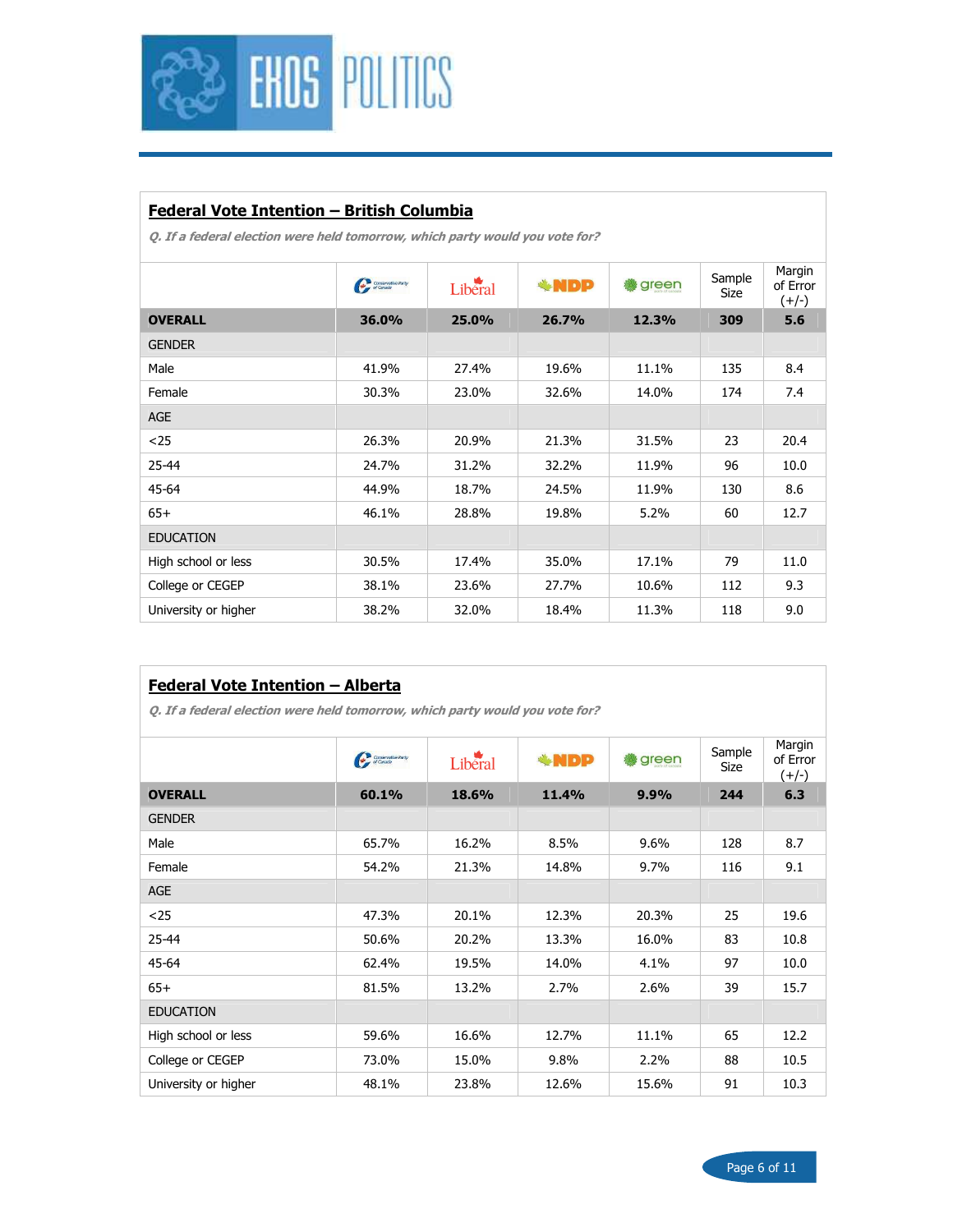

### Federal Vote Intention – British Columbia

|                      | Conservative Party | Liberal | <b>WDP</b> | green | Sample<br>Size | Margin<br>of Error<br>$(+/-)$ |
|----------------------|--------------------|---------|------------|-------|----------------|-------------------------------|
| <b>OVERALL</b>       | 36.0%              | 25.0%   | 26.7%      | 12.3% | 309            | 5.6                           |
| <b>GENDER</b>        |                    |         |            |       |                |                               |
| Male                 | 41.9%              | 27.4%   | 19.6%      | 11.1% | 135            | 8.4                           |
| Female               | 30.3%              | 23.0%   | 32.6%      | 14.0% | 174            | 7.4                           |
| <b>AGE</b>           |                    |         |            |       |                |                               |
| $25$                 | 26.3%              | 20.9%   | 21.3%      | 31.5% | 23             | 20.4                          |
| 25-44                | 24.7%              | 31.2%   | 32.2%      | 11.9% | 96             | 10.0                          |
| 45-64                | 44.9%              | 18.7%   | 24.5%      | 11.9% | 130            | 8.6                           |
| $65+$                | 46.1%              | 28.8%   | 19.8%      | 5.2%  | 60             | 12.7                          |
| <b>EDUCATION</b>     |                    |         |            |       |                |                               |
| High school or less  | 30.5%              | 17.4%   | 35.0%      | 17.1% | 79             | 11.0                          |
| College or CEGEP     | 38.1%              | 23.6%   | 27.7%      | 10.6% | 112            | 9.3                           |
| University or higher | 38.2%              | 32.0%   | 18.4%      | 11.3% | 118            | 9.0                           |
|                      |                    |         |            |       |                |                               |

| <b>Federal Vote Intention - Alberta</b><br>Q. If a federal election were held tomorrow, which party would you vote for? |                    |         |             |       |                |                               |  |  |  |
|-------------------------------------------------------------------------------------------------------------------------|--------------------|---------|-------------|-------|----------------|-------------------------------|--|--|--|
|                                                                                                                         | Conservative Party | Liberal | <b>*NDP</b> | green | Sample<br>Size | Margin<br>of Error<br>$(+/-)$ |  |  |  |
| <b>OVERALL</b>                                                                                                          | 60.1%              | 18.6%   | 11.4%       | 9.9%  | 244            | 6.3                           |  |  |  |
| <b>GENDER</b>                                                                                                           |                    |         |             |       |                |                               |  |  |  |
| Male                                                                                                                    | 65.7%              | 16.2%   | 8.5%        | 9.6%  | 128            | 8.7                           |  |  |  |
| Female                                                                                                                  | 54.2%              | 21.3%   | 14.8%       | 9.7%  | 116            | 9.1                           |  |  |  |
| <b>AGE</b>                                                                                                              |                    |         |             |       |                |                               |  |  |  |
| $25$                                                                                                                    | 47.3%              | 20.1%   | 12.3%       | 20.3% | 25             | 19.6                          |  |  |  |
| 25-44                                                                                                                   | 50.6%              | 20.2%   | 13.3%       | 16.0% | 83             | 10.8                          |  |  |  |
| 45-64                                                                                                                   | 62.4%              | 19.5%   | 14.0%       | 4.1%  | 97             | 10.0                          |  |  |  |
| $65+$                                                                                                                   | 81.5%              | 13.2%   | 2.7%        | 2.6%  | 39             | 15.7                          |  |  |  |
| <b>EDUCATION</b>                                                                                                        |                    |         |             |       |                |                               |  |  |  |
| High school or less                                                                                                     | 59.6%              | 16.6%   | 12.7%       | 11.1% | 65             | 12.2                          |  |  |  |
| College or CEGEP                                                                                                        | 73.0%              | 15.0%   | 9.8%        | 2.2%  | 88             | 10.5                          |  |  |  |
| University or higher                                                                                                    | 48.1%              | 23.8%   | 12.6%       | 15.6% | 91             | 10.3                          |  |  |  |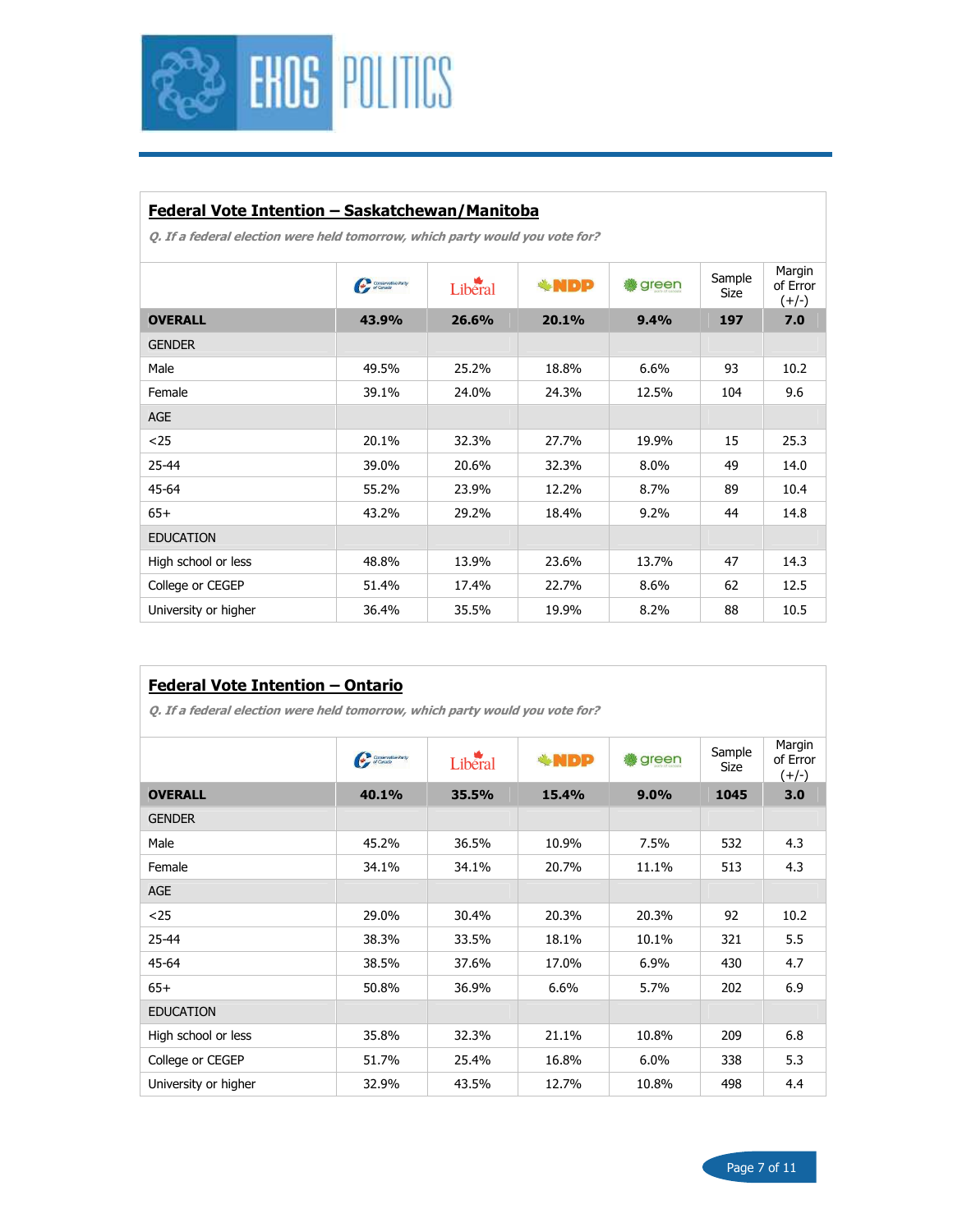

### Federal Vote Intention – Saskatchewan/Manitoba

|                      | Conservative Party<br>of Canada | Liberal | <b>*NDP</b> | green | Sample<br>Size | Margin<br>of Error<br>$(+/-)$ |
|----------------------|---------------------------------|---------|-------------|-------|----------------|-------------------------------|
| <b>OVERALL</b>       | 43.9%                           | 26.6%   | 20.1%       | 9.4%  | 197            | 7.0                           |
| <b>GENDER</b>        |                                 |         |             |       |                |                               |
| Male                 | 49.5%                           | 25.2%   | 18.8%       | 6.6%  | 93             | 10.2                          |
| Female               | 39.1%                           | 24.0%   | 24.3%       | 12.5% | 104            | 9.6                           |
| AGE                  |                                 |         |             |       |                |                               |
| $25$                 | 20.1%                           | 32.3%   | 27.7%       | 19.9% | 15             | 25.3                          |
| $25 - 44$            | 39.0%                           | 20.6%   | 32.3%       | 8.0%  | 49             | 14.0                          |
| 45-64                | 55.2%                           | 23.9%   | 12.2%       | 8.7%  | 89             | 10.4                          |
| $65+$                | 43.2%                           | 29.2%   | 18.4%       | 9.2%  | 44             | 14.8                          |
| <b>EDUCATION</b>     |                                 |         |             |       |                |                               |
| High school or less  | 48.8%                           | 13.9%   | 23.6%       | 13.7% | 47             | 14.3                          |
| College or CEGEP     | 51.4%                           | 17.4%   | 22.7%       | 8.6%  | 62             | 12.5                          |
| University or higher | 36.4%                           | 35.5%   | 19.9%       | 8.2%  | 88             | 10.5                          |
|                      |                                 |         |             |       |                |                               |

| <b>Federal Vote Intention - Ontario</b>                                      |                                 |         |            |       |                |                               |  |  |  |
|------------------------------------------------------------------------------|---------------------------------|---------|------------|-------|----------------|-------------------------------|--|--|--|
| Q. If a federal election were held tomorrow, which party would you vote for? |                                 |         |            |       |                |                               |  |  |  |
|                                                                              | Conservative Party<br>of Canada | Liberal | <b>WDP</b> | green | Sample<br>Size | Margin<br>of Error<br>$(+/-)$ |  |  |  |
| <b>OVERALL</b>                                                               | 40.1%                           | 35.5%   | 15.4%      | 9.0%  | 1045           | 3.0                           |  |  |  |
| <b>GENDER</b>                                                                |                                 |         |            |       |                |                               |  |  |  |
| Male                                                                         | 45.2%                           | 36.5%   | 10.9%      | 7.5%  | 532            | 4.3                           |  |  |  |
| Female                                                                       | 34.1%                           | 34.1%   | 20.7%      | 11.1% | 513            | 4.3                           |  |  |  |
| <b>AGE</b>                                                                   |                                 |         |            |       |                |                               |  |  |  |
| $25$                                                                         | 29.0%                           | 30.4%   | 20.3%      | 20.3% | 92             | 10.2                          |  |  |  |
| 25-44                                                                        | 38.3%                           | 33.5%   | 18.1%      | 10.1% | 321            | 5.5                           |  |  |  |
| 45-64                                                                        | 38.5%                           | 37.6%   | 17.0%      | 6.9%  | 430            | 4.7                           |  |  |  |
| $65+$                                                                        | 50.8%                           | 36.9%   | 6.6%       | 5.7%  | 202            | 6.9                           |  |  |  |
| <b>EDUCATION</b>                                                             |                                 |         |            |       |                |                               |  |  |  |
| High school or less                                                          | 35.8%                           | 32.3%   | 21.1%      | 10.8% | 209            | 6.8                           |  |  |  |
| College or CEGEP                                                             | 51.7%                           | 25.4%   | 16.8%      | 6.0%  | 338            | 5.3                           |  |  |  |
| University or higher                                                         | 32.9%                           | 43.5%   | 12.7%      | 10.8% | 498            | 4.4                           |  |  |  |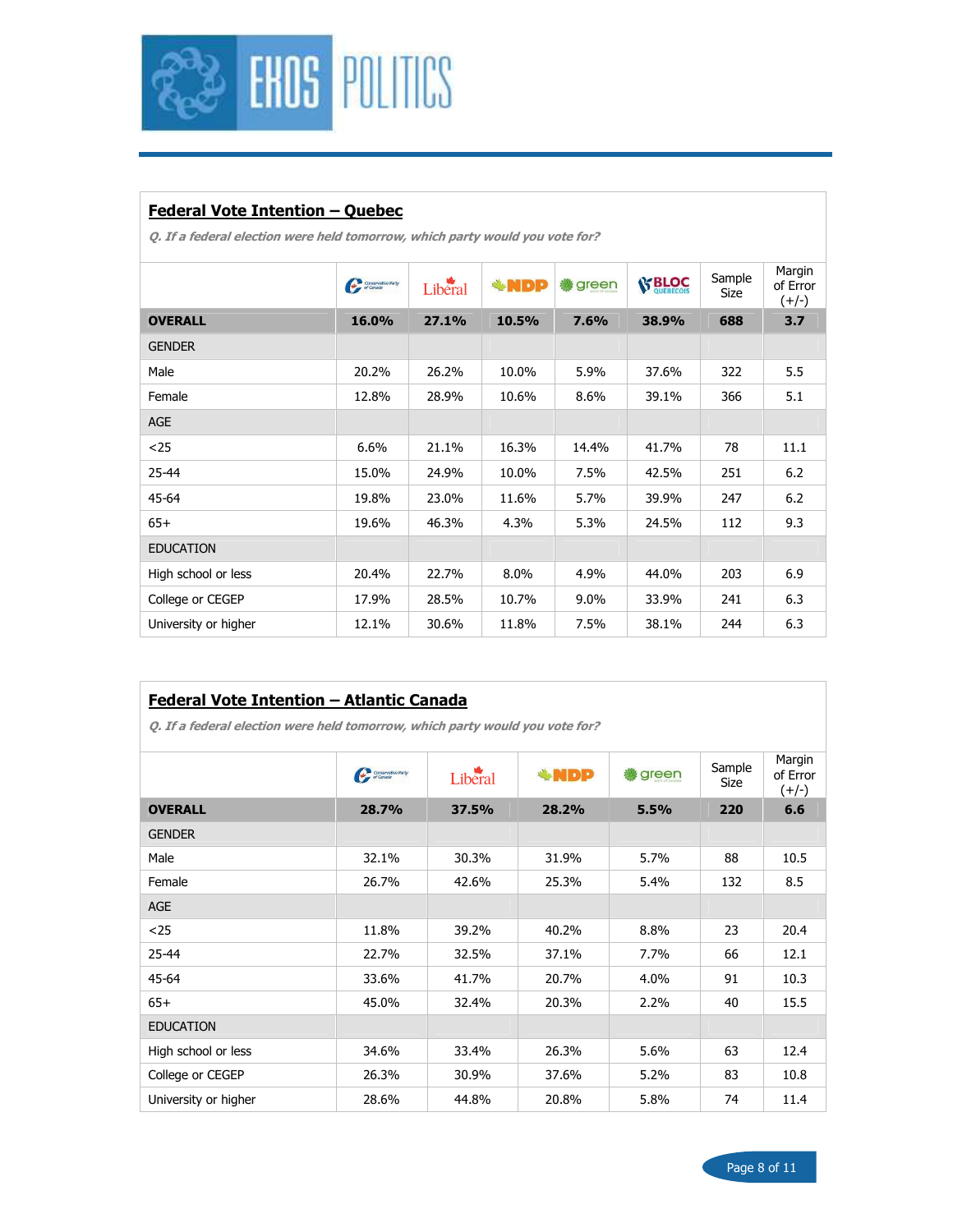

# Federal Vote Intention – Quebec

Q. If a federal election were held tomorrow, which party would you vote for?

|                      | Conservative Party | Liberal | <b>*NDP</b> | green   | <b>S' BLOC</b> | Sample<br>Size | Margin<br>of Error<br>$(+/-)$ |
|----------------------|--------------------|---------|-------------|---------|----------------|----------------|-------------------------------|
| <b>OVERALL</b>       | 16.0%              | 27.1%   | 10.5%       | 7.6%    | 38.9%          | 688            | 3.7                           |
| <b>GENDER</b>        |                    |         |             |         |                |                |                               |
| Male                 | 20.2%              | 26.2%   | 10.0%       | 5.9%    | 37.6%          | 322            | 5.5                           |
| Female               | 12.8%              | 28.9%   | 10.6%       | 8.6%    | 39.1%          | 366            | 5.1                           |
| <b>AGE</b>           |                    |         |             |         |                |                |                               |
| $25$                 | 6.6%               | 21.1%   | 16.3%       | 14.4%   | 41.7%          | 78             | 11.1                          |
| $25 - 44$            | 15.0%              | 24.9%   | 10.0%       | 7.5%    | 42.5%          | 251            | 6.2                           |
| 45-64                | 19.8%              | 23.0%   | 11.6%       | 5.7%    | 39.9%          | 247            | 6.2                           |
| $65+$                | 19.6%              | 46.3%   | 4.3%        | 5.3%    | 24.5%          | 112            | 9.3                           |
| <b>EDUCATION</b>     |                    |         |             |         |                |                |                               |
| High school or less  | 20.4%              | 22.7%   | 8.0%        | 4.9%    | 44.0%          | 203            | 6.9                           |
| College or CEGEP     | 17.9%              | 28.5%   | 10.7%       | $9.0\%$ | 33.9%          | 241            | 6.3                           |
| University or higher | 12.1%              | 30.6%   | 11.8%       | 7.5%    | 38.1%          | 244            | 6.3                           |

#### Federal Vote Intention – Atlantic Canada

|                      | Conservative Party<br>c of Canada | Liberal | <b>*NDP</b> | green | Sample<br>Size | Margin<br>of Error<br>$(+/-)$ |
|----------------------|-----------------------------------|---------|-------------|-------|----------------|-------------------------------|
| <b>OVERALL</b>       | 28.7%                             | 37.5%   | 28.2%       | 5.5%  | 220            | 6.6                           |
| <b>GENDER</b>        |                                   |         |             |       |                |                               |
| Male                 | 32.1%                             | 30.3%   | 31.9%       | 5.7%  | 88             | 10.5                          |
| Female               | 26.7%                             | 42.6%   | 25.3%       | 5.4%  | 132            | 8.5                           |
| AGE                  |                                   |         |             |       |                |                               |
| $25$                 | 11.8%                             | 39.2%   | 40.2%       | 8.8%  | 23             | 20.4                          |
| 25-44                | 22.7%                             | 32.5%   | 37.1%       | 7.7%  | 66             | 12.1                          |
| 45-64                | 33.6%                             | 41.7%   | 20.7%       | 4.0%  | 91             | 10.3                          |
| $65+$                | 45.0%                             | 32.4%   | 20.3%       | 2.2%  | 40             | 15.5                          |
| <b>EDUCATION</b>     |                                   |         |             |       |                |                               |
| High school or less  | 34.6%                             | 33.4%   | 26.3%       | 5.6%  | 63             | 12.4                          |
| College or CEGEP     | 26.3%                             | 30.9%   | 37.6%       | 5.2%  | 83             | 10.8                          |
| University or higher | 28.6%                             | 44.8%   | 20.8%       | 5.8%  | 74             | 11.4                          |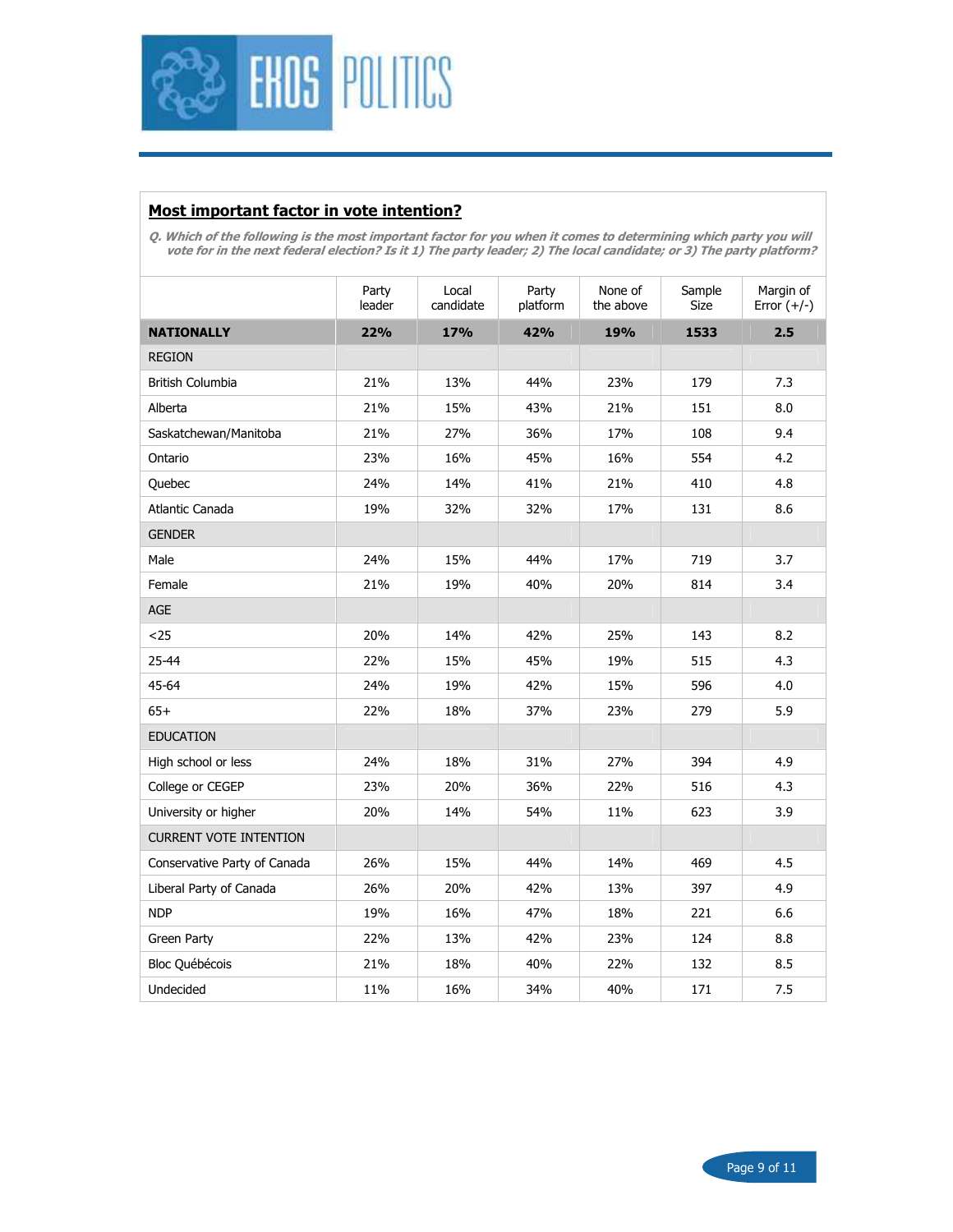

### Most important factor in vote intention?

Q. Which of the following is the most important factor for you when it comes to determining which party you will vote for in the next federal election? Is it 1) The party leader; 2) The local candidate; or 3) The party platform?

|                               | Party<br>leader | Local<br>candidate | Party<br>platform | None of<br>the above | Sample<br>Size | Margin of<br>Error $(+/-)$ |
|-------------------------------|-----------------|--------------------|-------------------|----------------------|----------------|----------------------------|
| <b>NATIONALLY</b>             | 22%             | <b>17%</b>         | 42%               | 19%                  | 1533           | 2.5                        |
| <b>REGION</b>                 |                 |                    |                   |                      |                |                            |
| <b>British Columbia</b>       | 21%             | 13%                | 44%               | 23%                  | 179            | 7.3                        |
| Alberta                       | 21%             | 15%                | 43%               | 21%                  | 151            | 8.0                        |
| Saskatchewan/Manitoba         | 21%             | 27%                | 36%               | 17%                  | 108            | 9.4                        |
| Ontario                       | 23%             | 16%                | 45%               | 16%                  | 554            | 4.2                        |
| Quebec                        | 24%             | 14%                | 41%               | 21%                  | 410            | 4.8                        |
| Atlantic Canada               | 19%             | 32%                | 32%               | 17%                  | 131            | 8.6                        |
| <b>GENDER</b>                 |                 |                    |                   |                      |                |                            |
| Male                          | 24%             | 15%                | 44%               | 17%                  | 719            | 3.7                        |
| Female                        | 21%             | 19%                | 40%               | 20%                  | 814            | 3.4                        |
| AGE                           |                 |                    |                   |                      |                |                            |
| $25$                          | 20%             | 14%                | 42%               | 25%                  | 143            | 8.2                        |
| 25-44                         | 22%             | 15%                | 45%               | 19%                  | 515            | 4.3                        |
| 45-64                         | 24%             | 19%                | 42%               | 15%                  | 596            | 4.0                        |
| $65+$                         | 22%             | 18%                | 37%               | 23%                  | 279            | 5.9                        |
| <b>EDUCATION</b>              |                 |                    |                   |                      |                |                            |
| High school or less           | 24%             | 18%                | 31%               | 27%                  | 394            | 4.9                        |
| College or CEGEP              | 23%             | 20%                | 36%               | 22%                  | 516            | 4.3                        |
| University or higher          | 20%             | 14%                | 54%               | 11%                  | 623            | 3.9                        |
| <b>CURRENT VOTE INTENTION</b> |                 |                    |                   |                      |                |                            |
| Conservative Party of Canada  | 26%             | 15%                | 44%               | 14%                  | 469            | 4.5                        |
| Liberal Party of Canada       | 26%             | 20%                | 42%               | 13%                  | 397            | 4.9                        |
| <b>NDP</b>                    | 19%             | 16%                | 47%               | 18%                  | 221            | 6.6                        |
| Green Party                   | 22%             | 13%                | 42%               | 23%                  | 124            | 8.8                        |
| Bloc Québécois                | 21%             | 18%                | 40%               | 22%                  | 132            | 8.5                        |
| Undecided                     | 11%             | 16%                | 34%               | 40%                  | 171            | 7.5                        |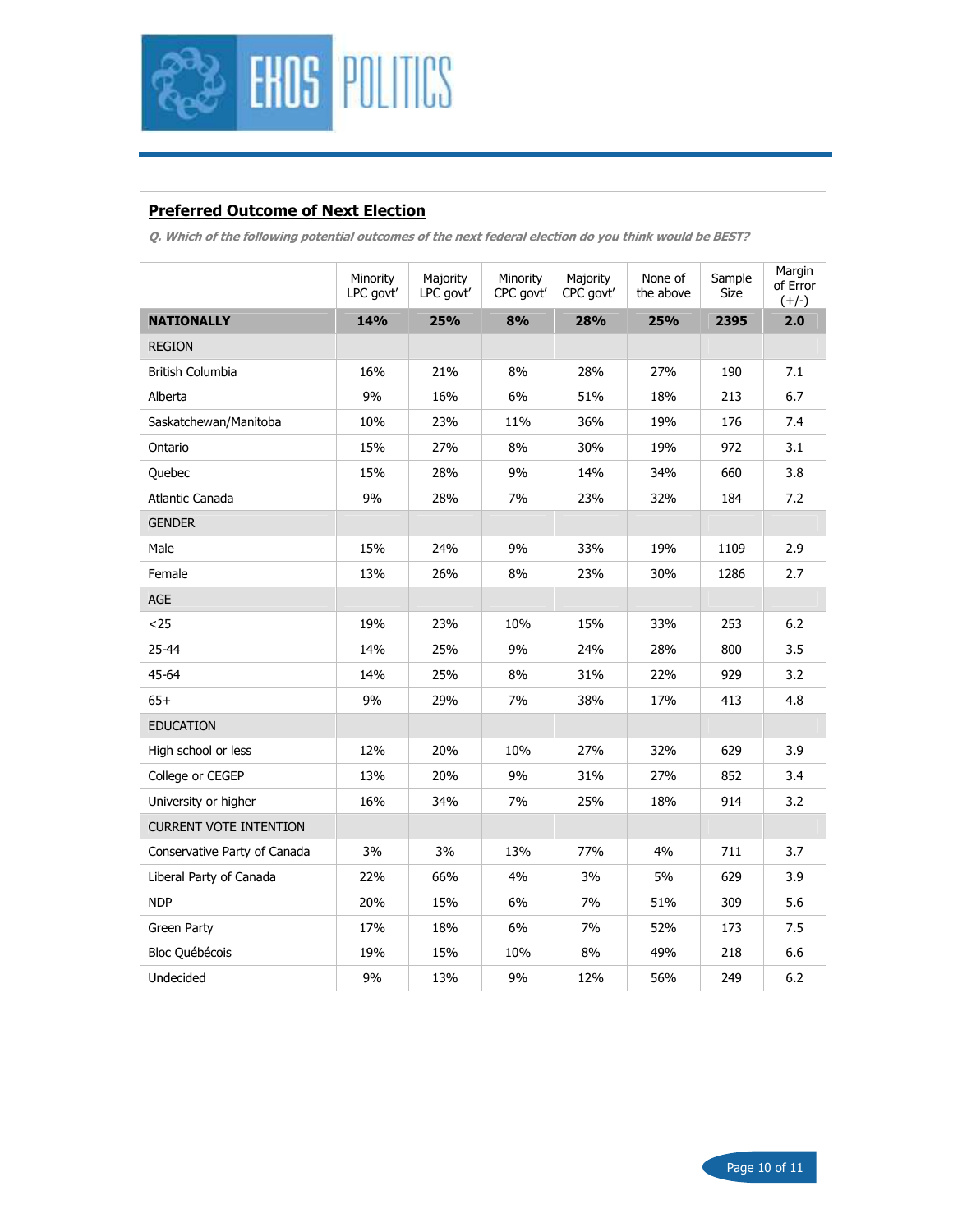

# Preferred Outcome of Next Election

Q. Which of the following potential outcomes of the next federal election do you think would be BEST?

|                               | Minority<br>LPC govt' | Majority<br>LPC govt' | Minority<br>CPC govt' | Majority<br>CPC govt' | None of<br>the above | Sample<br><b>Size</b> | Margin<br>of Error<br>$(+/-)$ |
|-------------------------------|-----------------------|-----------------------|-----------------------|-----------------------|----------------------|-----------------------|-------------------------------|
| <b>NATIONALLY</b>             | 14%                   | 25%                   | 8%                    | 28%                   | 25%                  | 2395                  | 2.0                           |
| <b>REGION</b>                 |                       |                       |                       |                       |                      |                       |                               |
| British Columbia              | 16%                   | 21%                   | 8%                    | 28%                   | 27%                  | 190                   | 7.1                           |
| Alberta                       | 9%                    | 16%                   | 6%                    | 51%                   | 18%                  | 213                   | 6.7                           |
| Saskatchewan/Manitoba         | 10%                   | 23%                   | 11%                   | 36%                   | 19%                  | 176                   | 7.4                           |
| Ontario                       | 15%                   | 27%                   | 8%                    | 30%                   | 19%                  | 972                   | 3.1                           |
| Quebec                        | 15%                   | 28%                   | 9%                    | 14%                   | 34%                  | 660                   | 3.8                           |
| Atlantic Canada               | 9%                    | 28%                   | 7%                    | 23%                   | 32%                  | 184                   | 7.2                           |
| <b>GENDER</b>                 |                       |                       |                       |                       |                      |                       |                               |
| Male                          | 15%                   | 24%                   | 9%                    | 33%                   | 19%                  | 1109                  | 2.9                           |
| Female                        | 13%                   | 26%                   | 8%                    | 23%                   | 30%                  | 1286                  | 2.7                           |
| AGE                           |                       |                       |                       |                       |                      |                       |                               |
| $25$                          | 19%                   | 23%                   | 10%                   | 15%                   | 33%                  | 253                   | 6.2                           |
| 25-44                         | 14%                   | 25%                   | 9%                    | 24%                   | 28%                  | 800                   | 3.5                           |
| 45-64                         | 14%                   | 25%                   | 8%                    | 31%                   | 22%                  | 929                   | 3.2                           |
| $65+$                         | 9%                    | 29%                   | 7%                    | 38%                   | 17%                  | 413                   | 4.8                           |
| <b>EDUCATION</b>              |                       |                       |                       |                       |                      |                       |                               |
| High school or less           | 12%                   | 20%                   | 10%                   | 27%                   | 32%                  | 629                   | 3.9                           |
| College or CEGEP              | 13%                   | 20%                   | 9%                    | 31%                   | 27%                  | 852                   | 3.4                           |
| University or higher          | 16%                   | 34%                   | 7%                    | 25%                   | 18%                  | 914                   | 3.2                           |
| <b>CURRENT VOTE INTENTION</b> |                       |                       |                       |                       |                      |                       |                               |
| Conservative Party of Canada  | 3%                    | 3%                    | 13%                   | 77%                   | 4%                   | 711                   | 3.7                           |
| Liberal Party of Canada       | 22%                   | 66%                   | 4%                    | 3%                    | 5%                   | 629                   | 3.9                           |
| <b>NDP</b>                    | 20%                   | 15%                   | 6%                    | 7%                    | 51%                  | 309                   | 5.6                           |
| Green Party                   | 17%                   | 18%                   | 6%                    | 7%                    | 52%                  | 173                   | 7.5                           |
| Bloc Québécois                | 19%                   | 15%                   | 10%                   | 8%                    | 49%                  | 218                   | 6.6                           |
| Undecided                     | 9%                    | 13%                   | 9%                    | 12%                   | 56%                  | 249                   | 6.2                           |